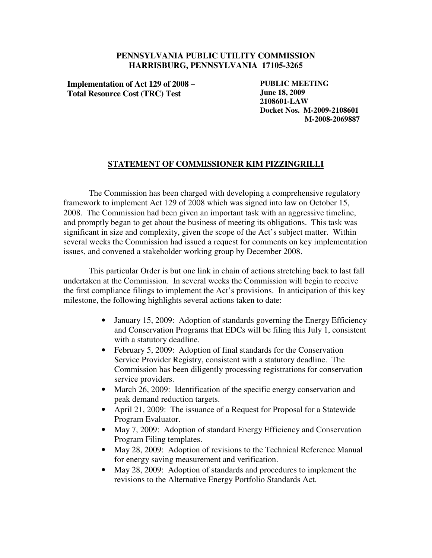## **PENNSYLVANIA PUBLIC UTILITY COMMISSION HARRISBURG, PENNSYLVANIA 17105-3265**

**Implementation of Act 129 of 2008 – Total Resource Cost (TRC) Test**

**PUBLIC MEETING June 18, 2009 2108601-LAW Docket Nos. M-2009-2108601 M-2008-2069887**

## **STATEMENT OF COMMISSIONER KIM PIZZINGRILLI**

The Commission has been charged with developing a comprehensive regulatory framework to implement Act 129 of 2008 which was signed into law on October 15, 2008. The Commission had been given an important task with an aggressive timeline, and promptly began to get about the business of meeting its obligations. This task was significant in size and complexity, given the scope of the Act's subject matter. Within several weeks the Commission had issued a request for comments on key implementation issues, and convened a stakeholder working group by December 2008.

This particular Order is but one link in chain of actions stretching back to last fall undertaken at the Commission. In several weeks the Commission will begin to receive the first compliance filings to implement the Act's provisions. In anticipation of this key milestone, the following highlights several actions taken to date:

- January 15, 2009: Adoption of standards governing the Energy Efficiency and Conservation Programs that EDCs will be filing this July 1, consistent with a statutory deadline.
- February 5, 2009: Adoption of final standards for the Conservation Service Provider Registry, consistent with a statutory deadline. The Commission has been diligently processing registrations for conservation service providers.
- March 26, 2009: Identification of the specific energy conservation and peak demand reduction targets.
- April 21, 2009: The issuance of a Request for Proposal for a Statewide Program Evaluator.
- May 7, 2009: Adoption of standard Energy Efficiency and Conservation Program Filing templates.
- May 28, 2009: Adoption of revisions to the Technical Reference Manual for energy saving measurement and verification.
- May 28, 2009: Adoption of standards and procedures to implement the revisions to the Alternative Energy Portfolio Standards Act.